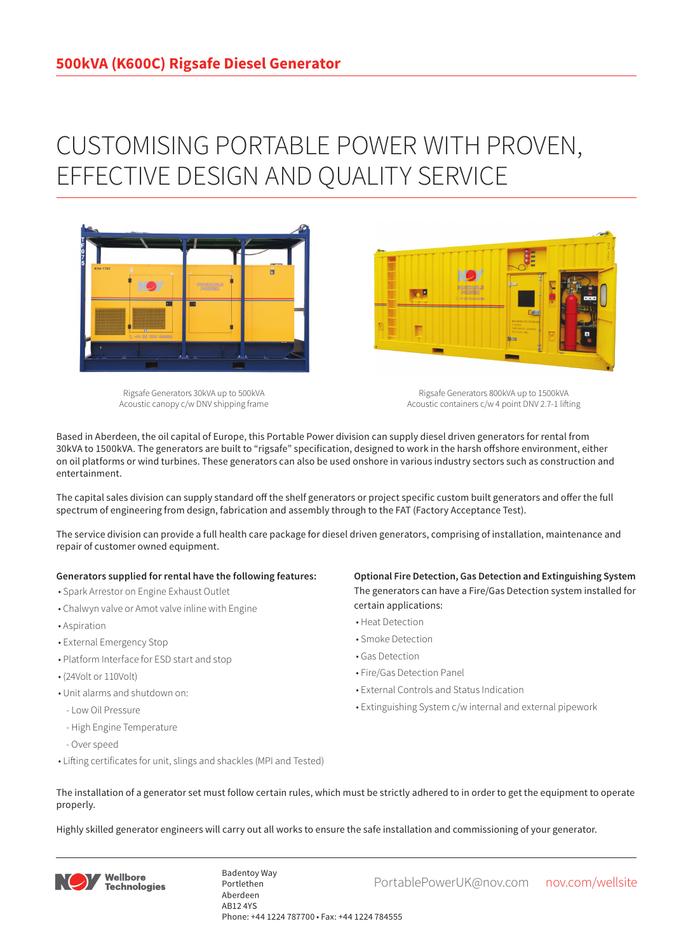## CUSTOMISING PORTABLE POWER WITH PROVEN, EFFECTIVE DESIGN AND QUALITY SERVICE



Rigsafe Generators 30kVA up to 500kVA Acoustic canopy c/w DNV shipping frame

Rigsafe Generators 800kVA up to 1500kVA Acoustic containers c/w 4 point DNV 2.7-1 lifting

Based in Aberdeen, the oil capital of Europe, this Portable Power division can supply diesel driven generators for rental from 30kVA to 1500kVA. The generators are built to "rigsafe" specification, designed to work in the harsh offshore environment, either on oil platforms or wind turbines. These generators can also be used onshore in various industry sectors such as construction and entertainment.

The capital sales division can supply standard off the shelf generators or project specific custom built generators and offer the full spectrum of engineering from design, fabrication and assembly through to the FAT (Factory Acceptance Test).

The service division can provide a full health care package for diesel driven generators, comprising of installation, maintenance and repair of customer owned equipment.

## **Generators supplied for rental have the following features:**

- Spark Arrestor on Engine Exhaust Outlet
- Chalwyn valve or Amot valve inline with Engine
- Aspiration
- External Emergency Stop
- Platform Interface for ESD start and stop
- (24Volt or 110Volt)
- Unit alarms and shutdown on:
- Low Oil Pressure
- High Engine Temperature
- Over speed
- Lifting certificates for unit, slings and shackles (MPI and Tested)

**Optional Fire Detection, Gas Detection and Extinguishing System** The generators can have a Fire/Gas Detection system installed for certain applications:

- Heat Detection
- Smoke Detection
- Gas Detection
- Fire/Gas Detection Panel

**Designation** 

- External Controls and Status Indication
- Extinguishing System c/w internal and external pipework
- The installation of a generator set must follow certain rules, which must be strictly adhered to in order to get the equipment to operate properly.

Highly skilled generator engineers will carry out all works to ensure the safe installation and commissioning of your generator.



Badentoy Way<br>PortablePowerUK@nov.com nov.com/wellsite Portlethen Aberdeen AB12 4YS Phone: +44 1224 787700 • Fax: +44 1224 784555